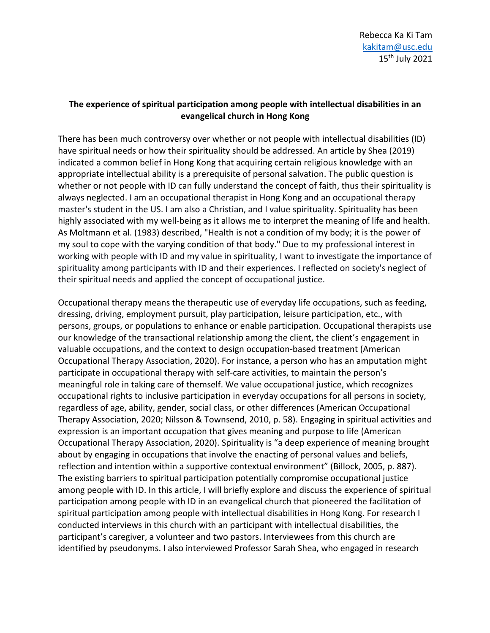# **The experience of spiritual participation among people with intellectual disabilities in an evangelical church in Hong Kong**

There has been much controversy over whether or not people with intellectual disabilities (ID) have spiritual needs or how their spirituality should be addressed. An article by Shea (2019) indicated a common belief in Hong Kong that acquiring certain religious knowledge with an appropriate intellectual ability is a prerequisite of personal salvation. The public question is whether or not people with ID can fully understand the concept of faith, thus their spirituality is always neglected. I am an occupational therapist in Hong Kong and an occupational therapy master's student in the US. I am also a Christian, and I value spirituality. Spirituality has been highly associated with my well-being as it allows me to interpret the meaning of life and health. As Moltmann et al. (1983) described, "Health is not a condition of my body; it is the power of my soul to cope with the varying condition of that body." Due to my professional interest in working with people with ID and my value in spirituality, I want to investigate the importance of spirituality among participants with ID and their experiences. I reflected on society's neglect of their spiritual needs and applied the concept of occupational justice.

Occupational therapy means the therapeutic use of everyday life occupations, such as feeding, dressing, driving, employment pursuit, play participation, leisure participation, etc., with persons, groups, or populations to enhance or enable participation. Occupational therapists use our knowledge of the transactional relationship among the client, the client's engagement in valuable occupations, and the context to design occupation-based treatment (American Occupational Therapy Association, 2020). For instance, a person who has an amputation might participate in occupational therapy with self-care activities, to maintain the person's meaningful role in taking care of themself. We value occupational justice, which recognizes occupational rights to inclusive participation in everyday occupations for all persons in society, regardless of age, ability, gender, social class, or other differences (American Occupational Therapy Association, 2020; Nilsson & Townsend, 2010, p. 58). Engaging in spiritual activities and expression is an important occupation that gives meaning and purpose to life (American Occupational Therapy Association, 2020). Spirituality is "a deep experience of meaning brought about by engaging in occupations that involve the enacting of personal values and beliefs, reflection and intention within a supportive contextual environment" (Billock, 2005, p. 887). The existing barriers to spiritual participation potentially compromise occupational justice among people with ID. In this article, I will briefly explore and discuss the experience of spiritual participation among people with ID in an evangelical church that pioneered the facilitation of spiritual participation among people with intellectual disabilities in Hong Kong. For research I conducted interviews in this church with an participant with intellectual disabilities, the participant's caregiver, a volunteer and two pastors. Interviewees from this church are identified by pseudonyms. I also interviewed Professor Sarah Shea, who engaged in research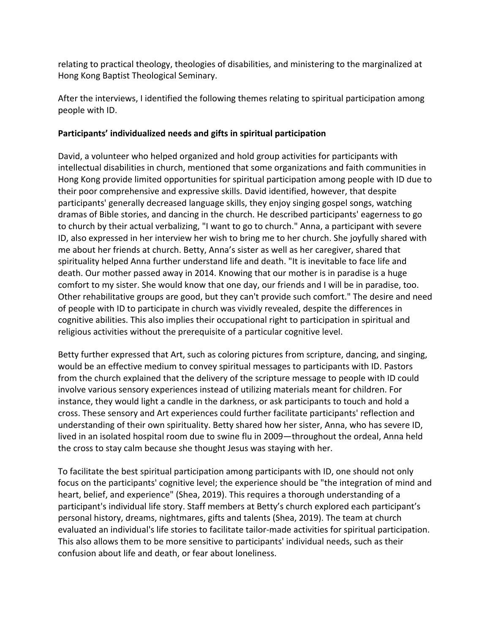relating to practical theology, theologies of disabilities, and ministering to the marginalized at Hong Kong Baptist Theological Seminary.

After the interviews, I identified the following themes relating to spiritual participation among people with ID.

## **Participants' individualized needs and gifts in spiritual participation**

David, a volunteer who helped organized and hold group activities for participants with intellectual disabilities in church, mentioned that some organizations and faith communities in Hong Kong provide limited opportunities for spiritual participation among people with ID due to their poor comprehensive and expressive skills. David identified, however, that despite participants' generally decreased language skills, they enjoy singing gospel songs, watching dramas of Bible stories, and dancing in the church. He described participants' eagerness to go to church by their actual verbalizing, "I want to go to church." Anna, a participant with severe ID, also expressed in her interview her wish to bring me to her church. She joyfully shared with me about her friends at church. Betty, Anna's sister as well as her caregiver, shared that spirituality helped Anna further understand life and death. "It is inevitable to face life and death. Our mother passed away in 2014. Knowing that our mother is in paradise is a huge comfort to my sister. She would know that one day, our friends and I will be in paradise, too. Other rehabilitative groups are good, but they can't provide such comfort." The desire and need of people with ID to participate in church was vividly revealed, despite the differences in cognitive abilities. This also implies their occupational right to participation in spiritual and religious activities without the prerequisite of a particular cognitive level.

Betty further expressed that Art, such as coloring pictures from scripture, dancing, and singing, would be an effective medium to convey spiritual messages to participants with ID. Pastors from the church explained that the delivery of the scripture message to people with ID could involve various sensory experiences instead of utilizing materials meant for children. For instance, they would light a candle in the darkness, or ask participants to touch and hold a cross. These sensory and Art experiences could further facilitate participants' reflection and understanding of their own spirituality. Betty shared how her sister, Anna, who has severe ID, lived in an isolated hospital room due to swine flu in 2009—throughout the ordeal, Anna held the cross to stay calm because she thought Jesus was staying with her.

To facilitate the best spiritual participation among participants with ID, one should not only focus on the participants' cognitive level; the experience should be "the integration of mind and heart, belief, and experience" (Shea, 2019). This requires a thorough understanding of a participant's individual life story. Staff members at Betty's church explored each participant's personal history, dreams, nightmares, gifts and talents (Shea, 2019). The team at church evaluated an individual's life stories to facilitate tailor-made activities for spiritual participation. This also allows them to be more sensitive to participants' individual needs, such as their confusion about life and death, or fear about loneliness.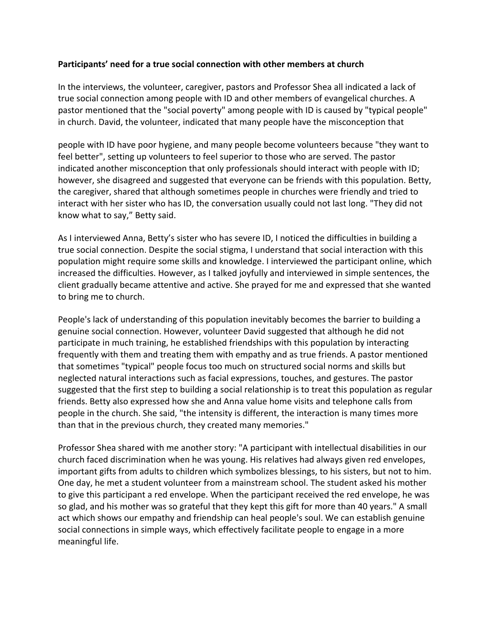## **Participants' need for a true social connection with other members at church**

In the interviews, the volunteer, caregiver, pastors and Professor Shea all indicated a lack of true social connection among people with ID and other members of evangelical churches. A pastor mentioned that the "social poverty" among people with ID is caused by "typical people" in church. David, the volunteer, indicated that many people have the misconception that

people with ID have poor hygiene, and many people become volunteers because "they want to feel better", setting up volunteers to feel superior to those who are served. The pastor indicated another misconception that only professionals should interact with people with ID; however, she disagreed and suggested that everyone can be friends with this population. Betty, the caregiver, shared that although sometimes people in churches were friendly and tried to interact with her sister who has ID, the conversation usually could not last long. "They did not know what to say," Betty said.

As I interviewed Anna, Betty's sister who has severe ID, I noticed the difficulties in building a true social connection. Despite the social stigma, I understand that social interaction with this population might require some skills and knowledge. I interviewed the participant online, which increased the difficulties. However, as I talked joyfully and interviewed in simple sentences, the client gradually became attentive and active. She prayed for me and expressed that she wanted to bring me to church.

People's lack of understanding of this population inevitably becomes the barrier to building a genuine social connection. However, volunteer David suggested that although he did not participate in much training, he established friendships with this population by interacting frequently with them and treating them with empathy and as true friends. A pastor mentioned that sometimes "typical" people focus too much on structured social norms and skills but neglected natural interactions such as facial expressions, touches, and gestures. The pastor suggested that the first step to building a social relationship is to treat this population as regular friends. Betty also expressed how she and Anna value home visits and telephone calls from people in the church. She said, "the intensity is different, the interaction is many times more than that in the previous church, they created many memories."

Professor Shea shared with me another story: "A participant with intellectual disabilities in our church faced discrimination when he was young. His relatives had always given red envelopes, important gifts from adults to children which symbolizes blessings, to his sisters, but not to him. One day, he met a student volunteer from a mainstream school. The student asked his mother to give this participant a red envelope. When the participant received the red envelope, he was so glad, and his mother was so grateful that they kept this gift for more than 40 years." A small act which shows our empathy and friendship can heal people's soul. We can establish genuine social connections in simple ways, which effectively facilitate people to engage in a more meaningful life.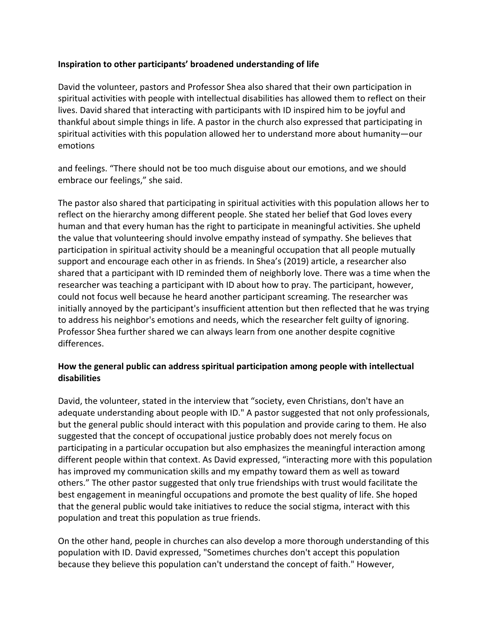# **Inspiration to other participants' broadened understanding of life**

David the volunteer, pastors and Professor Shea also shared that their own participation in spiritual activities with people with intellectual disabilities has allowed them to reflect on their lives. David shared that interacting with participants with ID inspired him to be joyful and thankful about simple things in life. A pastor in the church also expressed that participating in spiritual activities with this population allowed her to understand more about humanity—our emotions

and feelings. "There should not be too much disguise about our emotions, and we should embrace our feelings," she said.

The pastor also shared that participating in spiritual activities with this population allows her to reflect on the hierarchy among different people. She stated her belief that God loves every human and that every human has the right to participate in meaningful activities. She upheld the value that volunteering should involve empathy instead of sympathy. She believes that participation in spiritual activity should be a meaningful occupation that all people mutually support and encourage each other in as friends. In Shea's (2019) article, a researcher also shared that a participant with ID reminded them of neighborly love. There was a time when the researcher was teaching a participant with ID about how to pray. The participant, however, could not focus well because he heard another participant screaming. The researcher was initially annoyed by the participant's insufficient attention but then reflected that he was trying to address his neighbor's emotions and needs, which the researcher felt guilty of ignoring. Professor Shea further shared we can always learn from one another despite cognitive differences.

# **How the general public can address spiritual participation among people with intellectual disabilities**

David, the volunteer, stated in the interview that "society, even Christians, don't have an adequate understanding about people with ID." A pastor suggested that not only professionals, but the general public should interact with this population and provide caring to them. He also suggested that the concept of occupational justice probably does not merely focus on participating in a particular occupation but also emphasizes the meaningful interaction among different people within that context. As David expressed, "interacting more with this population has improved my communication skills and my empathy toward them as well as toward others." The other pastor suggested that only true friendships with trust would facilitate the best engagement in meaningful occupations and promote the best quality of life. She hoped that the general public would take initiatives to reduce the social stigma, interact with this population and treat this population as true friends.

On the other hand, people in churches can also develop a more thorough understanding of this population with ID. David expressed, "Sometimes churches don't accept this population because they believe this population can't understand the concept of faith." However,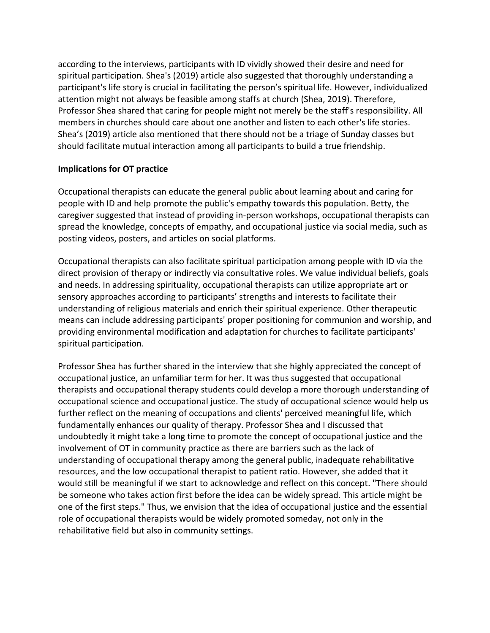according to the interviews, participants with ID vividly showed their desire and need for spiritual participation. Shea's (2019) article also suggested that thoroughly understanding a participant's life story is crucial in facilitating the person's spiritual life. However, individualized attention might not always be feasible among staffs at church (Shea, 2019). Therefore, Professor Shea shared that caring for people might not merely be the staff's responsibility. All members in churches should care about one another and listen to each other's life stories. Shea's (2019) article also mentioned that there should not be a triage of Sunday classes but should facilitate mutual interaction among all participants to build a true friendship.

## **Implications for OT practice**

Occupational therapists can educate the general public about learning about and caring for people with ID and help promote the public's empathy towards this population. Betty, the caregiver suggested that instead of providing in-person workshops, occupational therapists can spread the knowledge, concepts of empathy, and occupational justice via social media, such as posting videos, posters, and articles on social platforms.

Occupational therapists can also facilitate spiritual participation among people with ID via the direct provision of therapy or indirectly via consultative roles. We value individual beliefs, goals and needs. In addressing spirituality, occupational therapists can utilize appropriate art or sensory approaches according to participants' strengths and interests to facilitate their understanding of religious materials and enrich their spiritual experience. Other therapeutic means can include addressing participants' proper positioning for communion and worship, and providing environmental modification and adaptation for churches to facilitate participants' spiritual participation.

Professor Shea has further shared in the interview that she highly appreciated the concept of occupational justice, an unfamiliar term for her. It was thus suggested that occupational therapists and occupational therapy students could develop a more thorough understanding of occupational science and occupational justice. The study of occupational science would help us further reflect on the meaning of occupations and clients' perceived meaningful life, which fundamentally enhances our quality of therapy. Professor Shea and I discussed that undoubtedly it might take a long time to promote the concept of occupational justice and the involvement of OT in community practice as there are barriers such as the lack of understanding of occupational therapy among the general public, inadequate rehabilitative resources, and the low occupational therapist to patient ratio. However, she added that it would still be meaningful if we start to acknowledge and reflect on this concept. "There should be someone who takes action first before the idea can be widely spread. This article might be one of the first steps." Thus, we envision that the idea of occupational justice and the essential role of occupational therapists would be widely promoted someday, not only in the rehabilitative field but also in community settings.